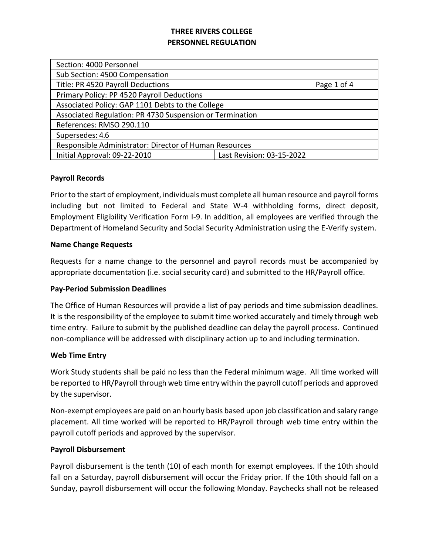| Page 1 of 4                                              |  |  |  |
|----------------------------------------------------------|--|--|--|
|                                                          |  |  |  |
| Associated Policy: GAP 1101 Debts to the College         |  |  |  |
| Associated Regulation: PR 4730 Suspension or Termination |  |  |  |
| References: RMSO 290.110                                 |  |  |  |
| Supersedes: 4.6                                          |  |  |  |
| Responsible Administrator: Director of Human Resources   |  |  |  |
| Last Revision: 03-15-2022                                |  |  |  |
|                                                          |  |  |  |

### **Payroll Records**

Prior to the start of employment, individuals must complete all human resource and payroll forms including but not limited to Federal and State W-4 withholding forms, direct deposit, Employment Eligibility Verification Form I-9. In addition, all employees are verified through the Department of Homeland Security and Social Security Administration using the E-Verify system.

### **Name Change Requests**

Requests for a name change to the personnel and payroll records must be accompanied by appropriate documentation (i.e. social security card) and submitted to the HR/Payroll office.

## **Pay-Period Submission Deadlines**

The Office of Human Resources will provide a list of pay periods and time submission deadlines. It is the responsibility of the employee to submit time worked accurately and timely through web time entry. Failure to submit by the published deadline can delay the payroll process. Continued non-compliance will be addressed with disciplinary action up to and including termination.

#### **Web Time Entry**

Work Study students shall be paid no less than the Federal minimum wage. All time worked will be reported to HR/Payroll through web time entry within the payroll cutoff periods and approved by the supervisor.

Non-exempt employees are paid on an hourly basis based upon job classification and salary range placement. All time worked will be reported to HR/Payroll through web time entry within the payroll cutoff periods and approved by the supervisor.

#### **Payroll Disbursement**

Payroll disbursement is the tenth (10) of each month for exempt employees. If the 10th should fall on a Saturday, payroll disbursement will occur the Friday prior. If the 10th should fall on a Sunday, payroll disbursement will occur the following Monday. Paychecks shall not be released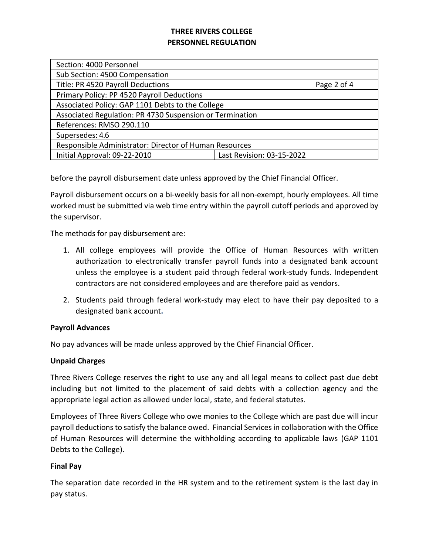| Section: 4000 Personnel                                  |                           |  |  |
|----------------------------------------------------------|---------------------------|--|--|
| Sub Section: 4500 Compensation                           |                           |  |  |
| Title: PR 4520 Payroll Deductions                        | Page 2 of 4               |  |  |
| Primary Policy: PP 4520 Payroll Deductions               |                           |  |  |
| Associated Policy: GAP 1101 Debts to the College         |                           |  |  |
| Associated Regulation: PR 4730 Suspension or Termination |                           |  |  |
| References: RMSO 290.110                                 |                           |  |  |
| Supersedes: 4.6                                          |                           |  |  |
| Responsible Administrator: Director of Human Resources   |                           |  |  |
| Initial Approval: 09-22-2010                             | Last Revision: 03-15-2022 |  |  |

before the payroll disbursement date unless approved by the Chief Financial Officer.

Payroll disbursement occurs on a bi-weekly basis for all non-exempt, hourly employees. All time worked must be submitted via web time entry within the payroll cutoff periods and approved by the supervisor.

The methods for pay disbursement are:

- 1. All college employees will provide the Office of Human Resources with written authorization to electronically transfer payroll funds into a designated bank account unless the employee is a student paid through federal work-study funds. Independent contractors are not considered employees and are therefore paid as vendors.
- 2. Students paid through federal work-study may elect to have their pay deposited to a designated bank account**.**

## **Payroll Advances**

No pay advances will be made unless approved by the Chief Financial Officer.

## **Unpaid Charges**

Three Rivers College reserves the right to use any and all legal means to collect past due debt including but not limited to the placement of said debts with a collection agency and the appropriate legal action as allowed under local, state, and federal statutes.

Employees of Three Rivers College who owe monies to the College which are past due will incur payroll deductions to satisfy the balance owed. Financial Services in collaboration with the Office of Human Resources will determine the withholding according to applicable laws (GAP 1101 Debts to the College).

## **Final Pay**

The separation date recorded in the HR system and to the retirement system is the last day in pay status.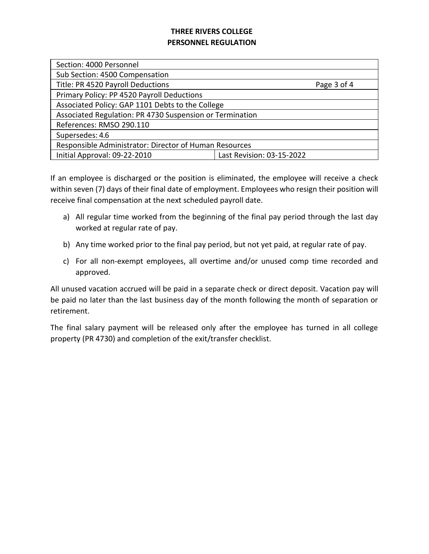| Section: 4000 Personnel                                  |                           |  |  |
|----------------------------------------------------------|---------------------------|--|--|
| Sub Section: 4500 Compensation                           |                           |  |  |
| Title: PR 4520 Payroll Deductions                        | Page 3 of 4               |  |  |
| Primary Policy: PP 4520 Payroll Deductions               |                           |  |  |
| Associated Policy: GAP 1101 Debts to the College         |                           |  |  |
| Associated Regulation: PR 4730 Suspension or Termination |                           |  |  |
| References: RMSO 290.110                                 |                           |  |  |
| Supersedes: 4.6                                          |                           |  |  |
| Responsible Administrator: Director of Human Resources   |                           |  |  |
| Initial Approval: 09-22-2010                             | Last Revision: 03-15-2022 |  |  |

If an employee is discharged or the position is eliminated, the employee will receive a check within seven (7) days of their final date of employment. Employees who resign their position will receive final compensation at the next scheduled payroll date.

- a) All regular time worked from the beginning of the final pay period through the last day worked at regular rate of pay.
- b) Any time worked prior to the final pay period, but not yet paid, at regular rate of pay.
- c) For all non-exempt employees, all overtime and/or unused comp time recorded and approved.

All unused vacation accrued will be paid in a separate check or direct deposit. Vacation pay will be paid no later than the last business day of the month following the month of separation or retirement.

The final salary payment will be released only after the employee has turned in all college property (PR 4730) and completion of the exit/transfer checklist.